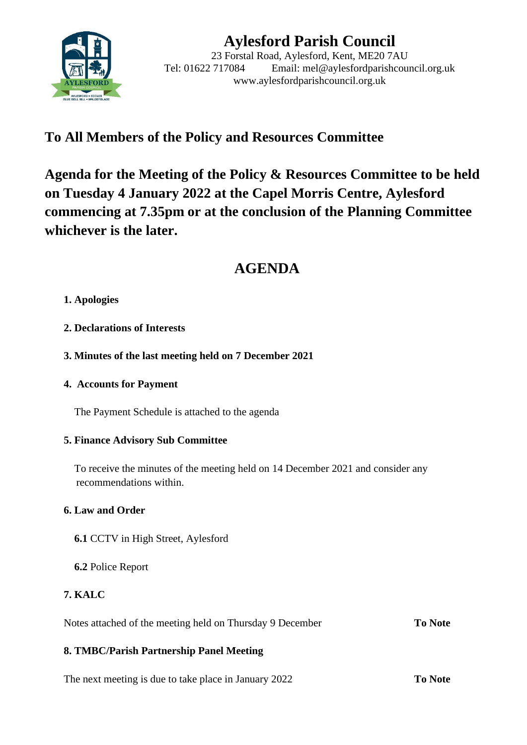

# **Aylesford Parish Council**

23 Forstal Road, Aylesford, Kent, ME20 7AU Tel: 01622 717084 Email: mel@aylesfordparishcouncil.org.uk www.aylesfordparishcouncil.org.uk

## **To All Members of the Policy and Resources Committee**

**Agenda for the Meeting of the Policy & Resources Committee to be held on Tuesday 4 January 2022 at the Capel Morris Centre, Aylesford commencing at 7.35pm or at the conclusion of the Planning Committee whichever is the later.**

## **AGENDA**

## **1. Apologies**

- **2. Declarations of Interests**
- **3. Minutes of the last meeting held on 7 December 2021**

## **4. Accounts for Payment**

The Payment Schedule is attached to the agenda

## **5. Finance Advisory Sub Committee**

 To receive the minutes of the meeting held on 14 December 2021 and consider any recommendations within.

## **6. Law and Order**

- **6.1** CCTV in High Street, Aylesford
- **6.2** Police Report

## **7. KALC**

Notes attached of the meeting held on Thursday 9 December **To Note**

## **8. TMBC/Parish Partnership Panel Meeting**

The next meeting is due to take place in January 2022 **To Note**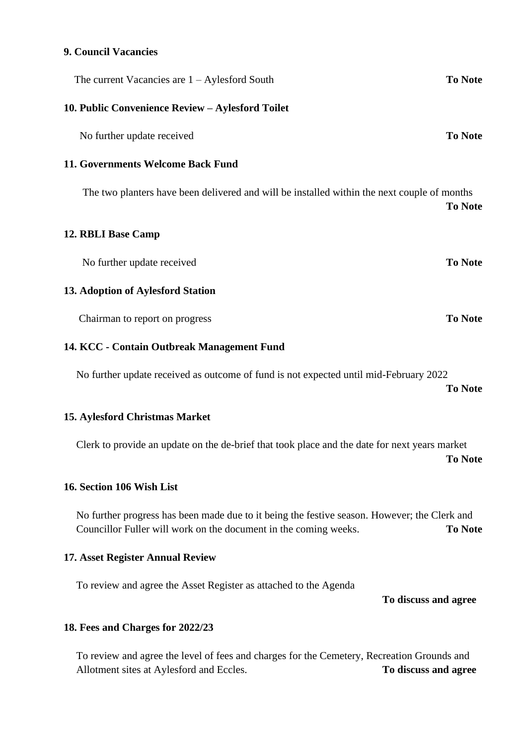#### **9. Council Vacancies**

| The current Vacancies are $1 -$ Aylesford South                                             | <b>To Note</b> |
|---------------------------------------------------------------------------------------------|----------------|
| 10. Public Convenience Review - Aylesford Toilet                                            |                |
| No further update received                                                                  | <b>To Note</b> |
| 11. Governments Welcome Back Fund                                                           |                |
| The two planters have been delivered and will be installed within the next couple of months | <b>To Note</b> |
| 12. RBLI Base Camp                                                                          |                |
| No further update received                                                                  | <b>To Note</b> |
| 13. Adoption of Aylesford Station                                                           |                |
| Chairman to report on progress                                                              | <b>To Note</b> |
|                                                                                             |                |

#### **14. KCC - Contain Outbreak Management Fund**

No further update received as outcome of fund is not expected until mid-February 2022 **To Note**

#### **15. Aylesford Christmas Market**

Clerk to provide an update on the de-brief that took place and the date for next years market **To Note**

#### **16. Section 106 Wish List**

No further progress has been made due to it being the festive season. However; the Clerk and Councillor Fuller will work on the document in the coming weeks. **To Note**

#### **17. Asset Register Annual Review**

To review and agree the Asset Register as attached to the Agenda

**To discuss and agree**

#### **18. Fees and Charges for 2022/23**

To review and agree the level of fees and charges for the Cemetery, Recreation Grounds and Allotment sites at Aylesford and Eccles. **To discuss and agree**